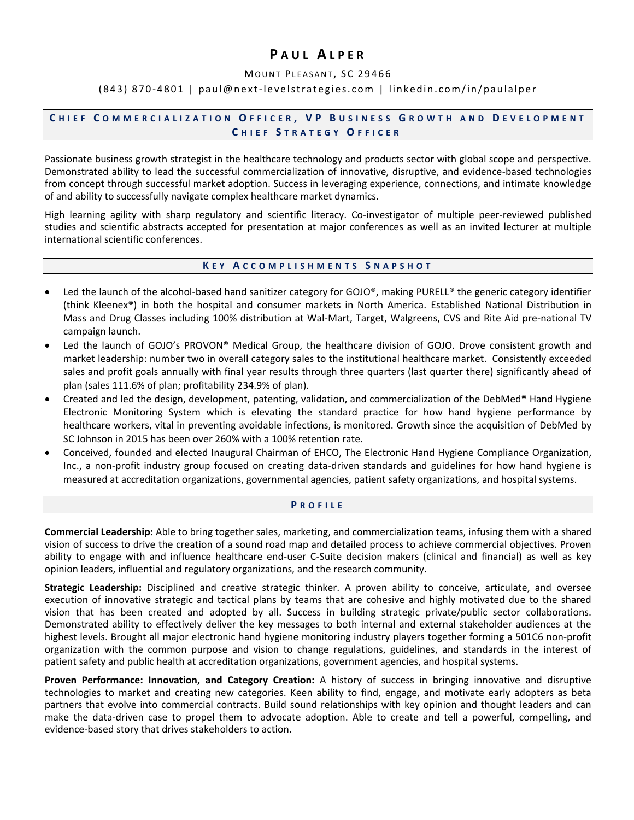# **P A U L A L P E R**

#### MOUNT PLEASANT, SC 29466

# (843) 870-4801 | paul@next-levelstrategies.com | linkedin.com/in/paulalper

#### **C H I E F C O M M E R C I A L I Z A T I O N O F F I C E R , V P B U S I N E S S G R O W T H A N D D E V E L O P M E N T C H I E F S T R A T E G Y O F F I C E R**

Passionate business growth strategist in the healthcare technology and products sector with global scope and perspective. Demonstrated ability to lead the successful commercialization of innovative, disruptive, and evidence-based technologies from concept through successful market adoption. Success in leveraging experience, connections, and intimate knowledge of and ability to successfully navigate complex healthcare market dynamics.

High learning agility with sharp regulatory and scientific literacy. Co-investigator of multiple peer-reviewed published studies and scientific abstracts accepted for presentation at major conferences as well as an invited lecturer at multiple international scientific conferences.

#### **K E Y A C C O M P L I S H M E N T S S N A P S H O T**

- Led the launch of the alcohol-based hand sanitizer category for GOJO®, making PURELL® the generic category identifier (think Kleenex®) in both the hospital and consumer markets in North America. Established National Distribution in Mass and Drug Classes including 100% distribution at Wal-Mart, Target, Walgreens, CVS and Rite Aid pre-national TV campaign launch.
- Led the launch of GOJO's PROVON® Medical Group, the healthcare division of GOJO. Drove consistent growth and market leadership: number two in overall category sales to the institutional healthcare market. Consistently exceeded sales and profit goals annually with final year results through three quarters (last quarter there) significantly ahead of plan (sales 111.6% of plan; profitability 234.9% of plan).
- Created and led the design, development, patenting, validation, and commercialization of the DebMed® Hand Hygiene Electronic Monitoring System which is elevating the standard practice for how hand hygiene performance by healthcare workers, vital in preventing avoidable infections, is monitored. Growth since the acquisition of DebMed by SC Johnson in 2015 has been over 260% with a 100% retention rate.
- Conceived, founded and elected Inaugural Chairman of EHCO, The Electronic Hand Hygiene Compliance Organization, Inc., a non-profit industry group focused on creating data-driven standards and guidelines for how hand hygiene is measured at accreditation organizations, governmental agencies, patient safety organizations, and hospital systems.

#### **P R O F I L E**

**Commercial Leadership:** Able to bring together sales, marketing, and commercialization teams, infusing them with a shared vision of success to drive the creation of a sound road map and detailed process to achieve commercial objectives. Proven ability to engage with and influence healthcare end-user C-Suite decision makers (clinical and financial) as well as key opinion leaders, influential and regulatory organizations, and the research community.

**Strategic Leadership:** Disciplined and creative strategic thinker. A proven ability to conceive, articulate, and oversee execution of innovative strategic and tactical plans by teams that are cohesive and highly motivated due to the shared vision that has been created and adopted by all. Success in building strategic private/public sector collaborations. Demonstrated ability to effectively deliver the key messages to both internal and external stakeholder audiences at the highest levels. Brought all major electronic hand hygiene monitoring industry players together forming a 501C6 non-profit organization with the common purpose and vision to change regulations, guidelines, and standards in the interest of patient safety and public health at accreditation organizations, government agencies, and hospital systems.

**Proven Performance: Innovation, and Category Creation:** A history of success in bringing innovative and disruptive technologies to market and creating new categories. Keen ability to find, engage, and motivate early adopters as beta partners that evolve into commercial contracts. Build sound relationships with key opinion and thought leaders and can make the data-driven case to propel them to advocate adoption. Able to create and tell a powerful, compelling, and evidence-based story that drives stakeholders to action.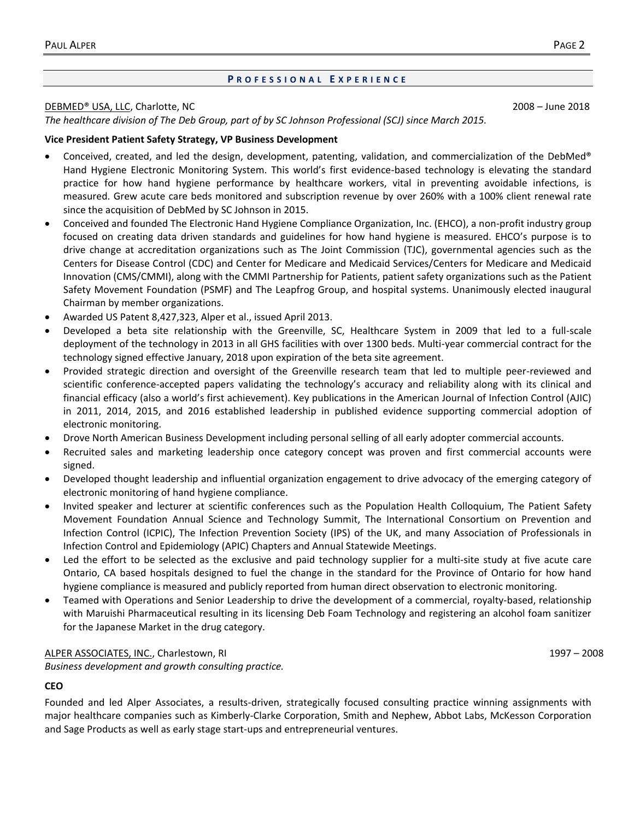#### **P R O F E S S I O N A L E X P E R I E N C E**

#### DEBMED® USA, LLC, Charlotte, NC 2008 – June 2018

*The healthcare division of The Deb Group, part of by SC Johnson Professional (SCJ) since March 2015.*

#### **Vice President Patient Safety Strategy, VP Business Development**

- Conceived, created, and led the design, development, patenting, validation, and commercialization of the DebMed® Hand Hygiene Electronic Monitoring System. This world's first evidence-based technology is elevating the standard practice for how hand hygiene performance by healthcare workers, vital in preventing avoidable infections, is measured. Grew acute care beds monitored and subscription revenue by over 260% with a 100% client renewal rate since the acquisition of DebMed by SC Johnson in 2015.
- Conceived and founded The Electronic Hand Hygiene Compliance Organization, Inc. (EHCO), a non-profit industry group focused on creating data driven standards and guidelines for how hand hygiene is measured. EHCO's purpose is to drive change at accreditation organizations such as The Joint Commission (TJC), governmental agencies such as the Centers for Disease Control (CDC) and Center for Medicare and Medicaid Services/Centers for Medicare and Medicaid Innovation (CMS/CMMI), along with the CMMI Partnership for Patients, patient safety organizations such as the Patient Safety Movement Foundation (PSMF) and The Leapfrog Group, and hospital systems. Unanimously elected inaugural Chairman by member organizations.
- Awarded US Patent 8,427,323, Alper et al., issued April 2013.
- Developed a beta site relationship with the Greenville, SC, Healthcare System in 2009 that led to a full-scale deployment of the technology in 2013 in all GHS facilities with over 1300 beds. Multi-year commercial contract for the technology signed effective January, 2018 upon expiration of the beta site agreement.
- Provided strategic direction and oversight of the Greenville research team that led to multiple peer-reviewed and scientific conference-accepted papers validating the technology's accuracy and reliability along with its clinical and financial efficacy (also a world's first achievement). Key publications in the American Journal of Infection Control (AJIC) in 2011, 2014, 2015, and 2016 established leadership in published evidence supporting commercial adoption of electronic monitoring.
- Drove North American Business Development including personal selling of all early adopter commercial accounts.
- Recruited sales and marketing leadership once category concept was proven and first commercial accounts were signed.
- Developed thought leadership and influential organization engagement to drive advocacy of the emerging category of electronic monitoring of hand hygiene compliance.
- Invited speaker and lecturer at scientific conferences such as the Population Health Colloquium, The Patient Safety Movement Foundation Annual Science and Technology Summit, The International Consortium on Prevention and Infection Control (ICPIC), The Infection Prevention Society (IPS) of the UK, and many Association of Professionals in Infection Control and Epidemiology (APIC) Chapters and Annual Statewide Meetings.
- Led the effort to be selected as the exclusive and paid technology supplier for a multi-site study at five acute care Ontario, CA based hospitals designed to fuel the change in the standard for the Province of Ontario for how hand hygiene compliance is measured and publicly reported from human direct observation to electronic monitoring.
- Teamed with Operations and Senior Leadership to drive the development of a commercial, royalty-based, relationship with Maruishi Pharmaceutical resulting in its licensing Deb Foam Technology and registering an alcohol foam sanitizer for the Japanese Market in the drug category.

#### ALPER ASSOCIATES, INC., Charlestown, RI 1997 – 2008

*Business development and growth consulting practice.*

#### **CEO**

Founded and led Alper Associates, a results-driven, strategically focused consulting practice winning assignments with major healthcare companies such as Kimberly-Clarke Corporation, Smith and Nephew, Abbot Labs, McKesson Corporation and Sage Products as well as early stage start-ups and entrepreneurial ventures.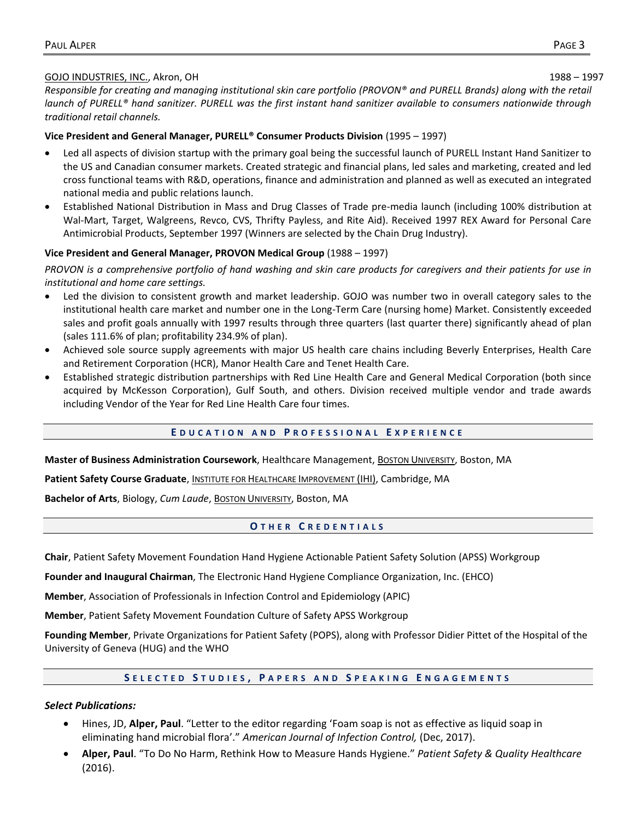# GOJO INDUSTRIES, INC., Akron, OH 1988 – 1997

*Responsible for creating and managing institutional skin care portfolio (PROVON® and PURELL Brands) along with the retail launch of PURELL® hand sanitizer. PURELL was the first instant hand sanitizer available to consumers nationwide through traditional retail channels.*

# **Vice President and General Manager, PURELL® Consumer Products Division** (1995 – 1997)

- Led all aspects of division startup with the primary goal being the successful launch of PURELL Instant Hand Sanitizer to the US and Canadian consumer markets. Created strategic and financial plans, led sales and marketing, created and led cross functional teams with R&D, operations, finance and administration and planned as well as executed an integrated national media and public relations launch.
- Established National Distribution in Mass and Drug Classes of Trade pre-media launch (including 100% distribution at Wal-Mart, Target, Walgreens, Revco, CVS, Thrifty Payless, and Rite Aid). Received 1997 REX Award for Personal Care Antimicrobial Products, September 1997 (Winners are selected by the Chain Drug Industry).

# **Vice President and General Manager, PROVON Medical Group** (1988 – 1997)

*PROVON is a comprehensive portfolio of hand washing and skin care products for caregivers and their patients for use in institutional and home care settings.*

- Led the division to consistent growth and market leadership. GOJO was number two in overall category sales to the institutional health care market and number one in the Long-Term Care (nursing home) Market. Consistently exceeded sales and profit goals annually with 1997 results through three quarters (last quarter there) significantly ahead of plan (sales 111.6% of plan; profitability 234.9% of plan).
- Achieved sole source supply agreements with major US health care chains including Beverly Enterprises, Health Care and Retirement Corporation (HCR), Manor Health Care and Tenet Health Care.
- Established strategic distribution partnerships with Red Line Health Care and General Medical Corporation (both since acquired by McKesson Corporation), Gulf South, and others. Division received multiple vendor and trade awards including Vendor of the Year for Red Line Health Care four times.

# **E D U C A T I O N A N D P R O F E S S I O N A L E X P E R I E N C E**

**Master of Business Administration Coursework**, Healthcare Management, BOSTON UNIVERSITY, Boston, MA

**Patient Safety Course Graduate**, INSTITUTE FOR HEALTHCARE IMPROVEMENT (IHI), Cambridge, MA

**Bachelor of Arts**, Biology, *Cum Laude*, **BOSTON UNIVERSITY**, Boston, MA

# **O T H E R C R E D E N T I A L S**

**Chair**, Patient Safety Movement Foundation Hand Hygiene Actionable Patient Safety Solution (APSS) Workgroup

**Founder and Inaugural Chairman**, The Electronic Hand Hygiene Compliance Organization, Inc. (EHCO)

**Member**, Association of Professionals in Infection Control and Epidemiology (APIC)

**Member**, Patient Safety Movement Foundation Culture of Safety APSS Workgroup

**Founding Member**, Private Organizations for Patient Safety (POPS), along with Professor Didier Pittet of the Hospital of the University of Geneva (HUG) and the WHO

# **S E L E C T E D S T U D I E S , P A P E R S A N D S P E A K I N G E N G A G E M E N T S**

# *Select Publications:*

- Hines, JD, **Alper, Paul**. "Letter to the editor regarding 'Foam soap is not as effective as liquid soap in eliminating hand microbial flora'." *American Journal of Infection Control,* (Dec, 2017).
- **Alper, Paul**. "To Do No Harm, Rethink How to Measure Hands Hygiene." *Patient Safety & Quality Healthcare* (2016).